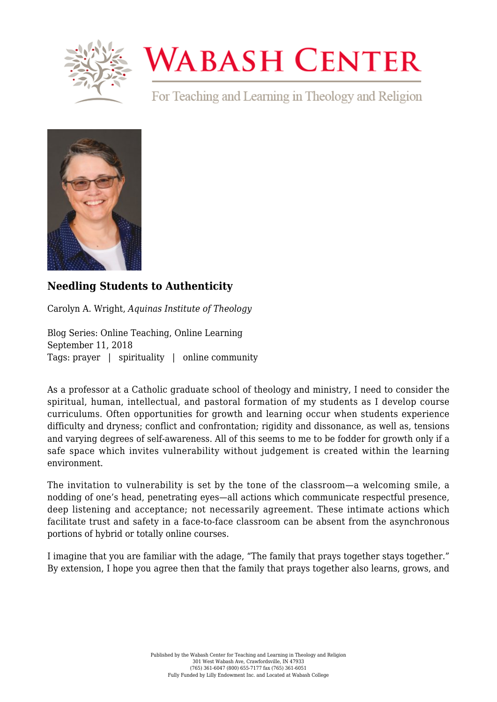

## **WABASH CENTER**

For Teaching and Learning in Theology and Religion



## **[Needling Students to Authenticity](https://www.wabashcenter.wabash.edu/2018/09/needling-students-to-authenticity/)**

Carolyn A. Wright, *Aquinas Institute of Theology*

Blog Series: Online Teaching, Online Learning September 11, 2018 Tags: prayer | spirituality | online community

As a professor at a Catholic graduate school of theology and ministry, I need to consider the spiritual, human, intellectual, and pastoral formation of my students as I develop course curriculums. Often opportunities for growth and learning occur when students experience difficulty and dryness; conflict and confrontation; rigidity and dissonance, as well as, tensions and varying degrees of self-awareness. All of this seems to me to be fodder for growth only if a safe space which invites vulnerability without judgement is created within the learning environment.

The invitation to vulnerability is set by the tone of the classroom—a welcoming smile, a nodding of one's head, penetrating eyes—all actions which communicate respectful presence, deep listening and acceptance; not necessarily agreement. These intimate actions which facilitate trust and safety in a face-to-face classroom can be absent from the asynchronous portions of hybrid or totally online courses.

I imagine that you are familiar with the adage, "The family that prays together stays together." By extension, I hope you agree then that the family that prays together also learns, grows, and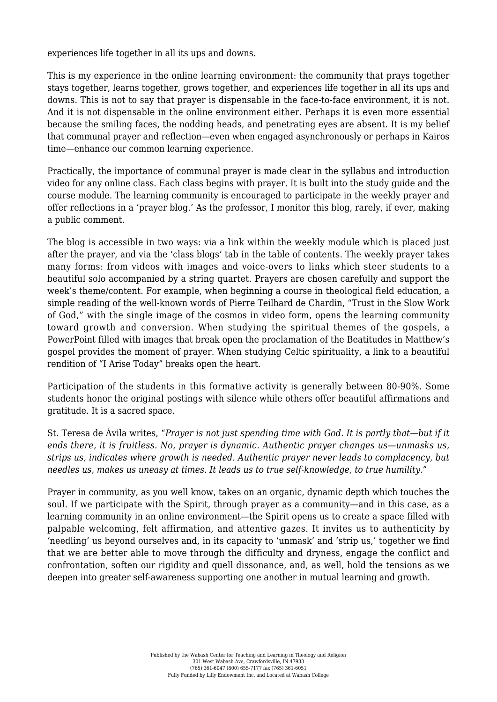experiences life together in all its ups and downs.

This is my experience in the online learning environment: the community that prays together stays together, learns together, grows together, and experiences life together in all its ups and downs. This is not to say that prayer is dispensable in the face-to-face environment, it is not. And it is not dispensable in the online environment either. Perhaps it is even more essential because the smiling faces, the nodding heads, and penetrating eyes are absent. It is my belief that communal prayer and reflection—even when engaged asynchronously or perhaps in Kairos time—enhance our common learning experience.

Practically, the importance of communal prayer is made clear in the syllabus and introduction video for any online class. Each class begins with prayer. It is built into the study guide and the course module. The learning community is encouraged to participate in the weekly prayer and offer reflections in a 'prayer blog.' As the professor, I monitor this blog, rarely, if ever, making a public comment.

The blog is accessible in two ways: via a link within the weekly module which is placed just after the prayer, and via the 'class blogs' tab in the table of contents. The weekly prayer takes many forms: from videos with images and voice-overs to links which steer students to a beautiful solo accompanied by a string quartet. Prayers are chosen carefully and support the week's theme/content. For example, when beginning a course in theological field education, a simple reading of the well-known words of Pierre Teilhard de Chardin, "Trust in the Slow Work of God," with the single image of the cosmos in video form, opens the learning community toward growth and conversion. When studying the spiritual themes of the gospels, a PowerPoint filled with images that break open the proclamation of the Beatitudes in Matthew's gospel provides the moment of prayer. When studying Celtic spirituality, a link to a beautiful rendition of "I Arise Today" breaks open the heart.

Participation of the students in this formative activity is generally between 80-90%. Some students honor the original postings with silence while others offer beautiful affirmations and gratitude. It is a sacred space.

St. Teresa de Ávila writes, "*Prayer is not just spending time with God. It is partly that—but if it ends there, it is fruitless. No, prayer is dynamic. Authentic prayer changes us—unmasks us, strips us, indicates where growth is needed. Authentic prayer never leads to complacency, but needles us, makes us uneasy at times. It leads us to true self-knowledge, to true humility*."

Prayer in community, as you well know, takes on an organic, dynamic depth which touches the soul. If we participate with the Spirit, through prayer as a community—and in this case, as a learning community in an online environment—the Spirit opens us to create a space filled with palpable welcoming, felt affirmation, and attentive gazes. It invites us to authenticity by 'needling' us beyond ourselves and, in its capacity to 'unmask' and 'strip us,' together we find that we are better able to move through the difficulty and dryness, engage the conflict and confrontation, soften our rigidity and quell dissonance, and, as well, hold the tensions as we deepen into greater self-awareness supporting one another in mutual learning and growth.